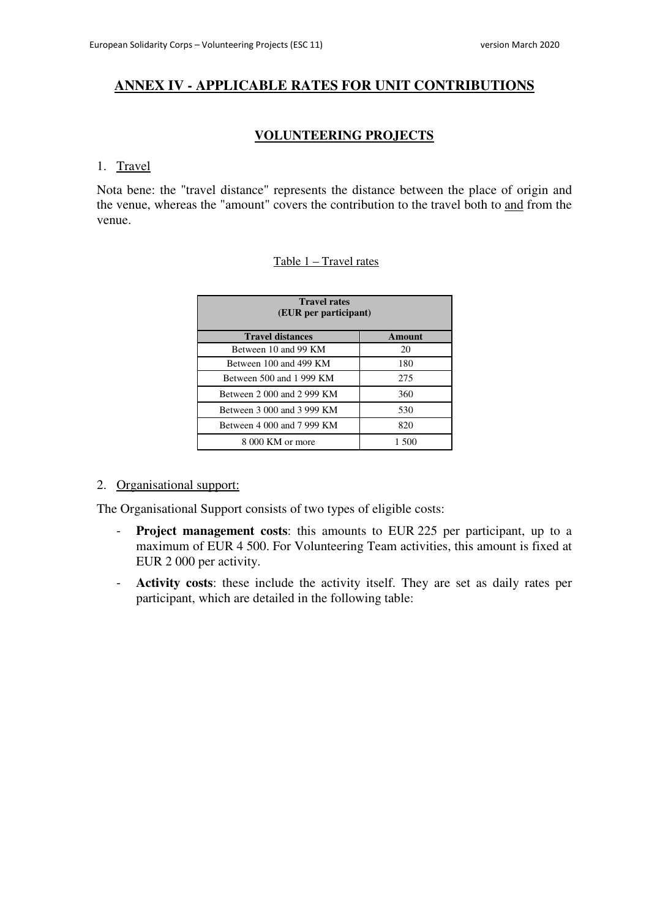# **ANNEX IV - APPLICABLE RATES FOR UNIT CONTRIBUTIONS**

# **VOLUNTEERING PROJECTS**

## 1. Travel

Nota bene: the "travel distance" represents the distance between the place of origin and the venue, whereas the "amount" covers the contribution to the travel both to and from the venue.

## Table 1 – Travel rates

| <b>Travel rates</b><br>(EUR per participant) |        |  |
|----------------------------------------------|--------|--|
| <b>Travel distances</b>                      | Amount |  |
| Between 10 and 99 KM                         | 20     |  |
| Between 100 and 499 KM                       | 180    |  |
| Between 500 and 1 999 KM                     | 275    |  |
| Between 2 000 and 2 999 KM                   | 360    |  |
| Between 3 000 and 3 999 KM                   | 530    |  |
| Between 4 000 and 7 999 KM                   | 820    |  |
| 8 000 KM or more                             | 1.500  |  |

## 2. Organisational support:

The Organisational Support consists of two types of eligible costs:

- **Project management costs**: this amounts to EUR 225 per participant, up to a maximum of EUR 4 500. For Volunteering Team activities, this amount is fixed at EUR 2 000 per activity.
- **Activity costs**: these include the activity itself. They are set as daily rates per participant, which are detailed in the following table: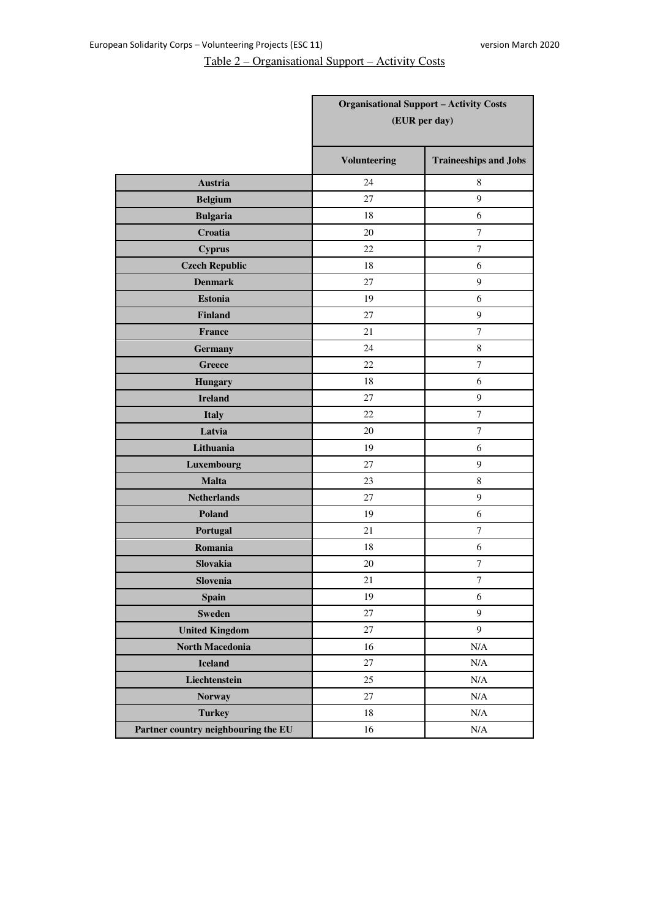# Table 2 – Organisational Support – Activity Costs

|                                     | <b>Organisational Support - Activity Costs</b><br>(EUR per day) |                              |
|-------------------------------------|-----------------------------------------------------------------|------------------------------|
|                                     | Volunteering                                                    | <b>Traineeships and Jobs</b> |
| Austria                             | 24                                                              | 8                            |
| <b>Belgium</b>                      | 27                                                              | 9                            |
| <b>Bulgaria</b>                     | 18                                                              | 6                            |
| Croatia                             | 20                                                              | $\tau$                       |
| <b>Cyprus</b>                       | 22                                                              | $\tau$                       |
| <b>Czech Republic</b>               | 18                                                              | 6                            |
| <b>Denmark</b>                      | 27                                                              | $\boldsymbol{9}$             |
| <b>Estonia</b>                      | 19                                                              | 6                            |
| <b>Finland</b>                      | 27                                                              | $\boldsymbol{9}$             |
| <b>France</b>                       | 21                                                              | $\overline{7}$               |
| <b>Germany</b>                      | 24                                                              | $\,$ 8 $\,$                  |
| Greece                              | 22                                                              | $\tau$                       |
| <b>Hungary</b>                      | 18                                                              | 6                            |
| <b>Ireland</b>                      | 27                                                              | 9                            |
| <b>Italy</b>                        | 22                                                              | $\overline{7}$               |
| Latvia                              | 20                                                              | $\tau$                       |
| Lithuania                           | 19                                                              | 6                            |
| Luxembourg                          | 27                                                              | 9                            |
| <b>Malta</b>                        | 23                                                              | $\,8\,$                      |
| <b>Netherlands</b>                  | 27                                                              | $\boldsymbol{9}$             |
| <b>Poland</b>                       | 19                                                              | 6                            |
| Portugal                            | 21                                                              | $\tau$                       |
| Romania                             | 18                                                              | 6                            |
| Slovakia                            | 20                                                              | 7                            |
| Slovenia                            | 21                                                              | $\overline{7}$               |
| <b>Spain</b>                        | 19                                                              | $\sqrt{6}$                   |
| <b>Sweden</b>                       | 27                                                              | 9                            |
| <b>United Kingdom</b>               | 27                                                              | 9                            |
| North Macedonia                     | 16                                                              | $\rm N/A$                    |
| <b>Iceland</b>                      | 27                                                              | $\rm N/A$                    |
| Liechtenstein                       | 25                                                              | $\rm N/A$                    |
| <b>Norway</b>                       | $27\,$                                                          | N/A                          |
| <b>Turkey</b>                       | $18\,$                                                          | $\rm N/A$                    |
| Partner country neighbouring the EU | 16                                                              | $\rm N/A$                    |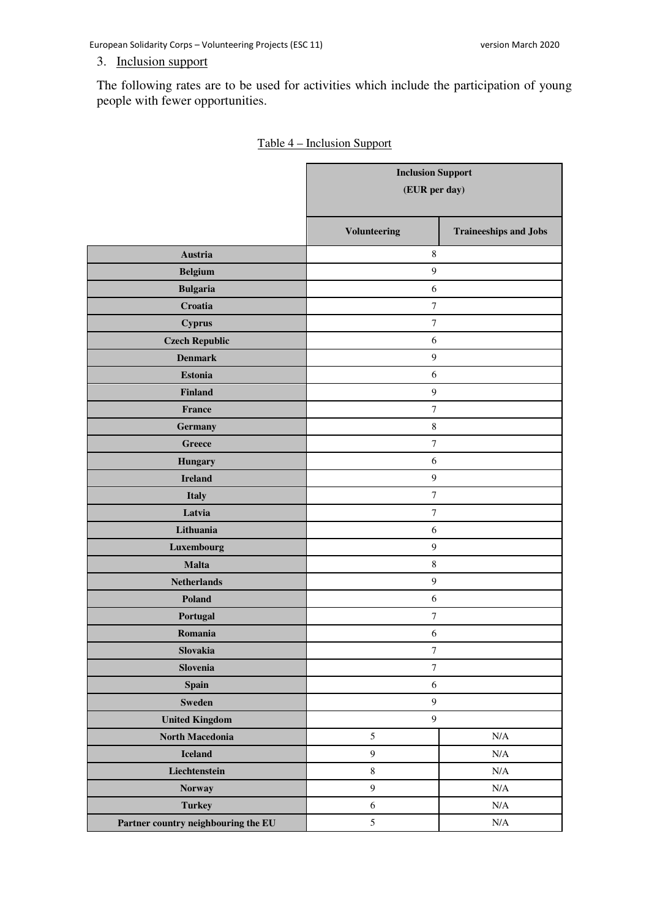European Solidarity Corps – Volunteering Projects (ESC 11) version March 2020

# 3. Inclusion support

The following rates are to be used for activities which include the participation of young people with fewer opportunities.

|                                     | <b>Inclusion Support</b><br>(EUR per day) |                              |
|-------------------------------------|-------------------------------------------|------------------------------|
|                                     |                                           |                              |
|                                     | <b>Volunteering</b>                       | <b>Traineeships and Jobs</b> |
| Austria                             | $\,8\,$                                   |                              |
| <b>Belgium</b>                      | $\boldsymbol{9}$                          |                              |
| <b>Bulgaria</b>                     | $\sqrt{6}$                                |                              |
| Croatia                             | $\tau$                                    |                              |
| <b>Cyprus</b>                       | $\boldsymbol{7}$                          |                              |
| <b>Czech Republic</b>               | 6                                         |                              |
| <b>Denmark</b>                      | $\boldsymbol{9}$                          |                              |
| <b>Estonia</b>                      | $\sqrt{6}$                                |                              |
| <b>Finland</b>                      | $\boldsymbol{9}$                          |                              |
| France                              | $\boldsymbol{7}$                          |                              |
| Germany                             | $\,8\,$                                   |                              |
| Greece                              | $\boldsymbol{7}$                          |                              |
| <b>Hungary</b>                      | 6                                         |                              |
| <b>Ireland</b>                      | $\mathbf{9}$                              |                              |
| <b>Italy</b>                        | $\overline{7}$                            |                              |
| Latvia                              | $\boldsymbol{7}$                          |                              |
| Lithuania                           | 6                                         |                              |
| Luxembourg                          | $\boldsymbol{9}$                          |                              |
| <b>Malta</b>                        | $\,$ 8 $\,$                               |                              |
| <b>Netherlands</b>                  | $\boldsymbol{9}$                          |                              |
| Poland                              | 6                                         |                              |
| Portugal                            | $\boldsymbol{7}$                          |                              |
| Romania                             | 6                                         |                              |
| Slovakia                            | $\boldsymbol{7}$                          |                              |
| Slovenia                            | $\boldsymbol{7}$                          |                              |
| <b>Spain</b>                        | $\sqrt{6}$                                |                              |
| <b>Sweden</b>                       | $\boldsymbol{9}$                          |                              |
| <b>United Kingdom</b>               | $\boldsymbol{9}$                          |                              |
| <b>North Macedonia</b>              | 5                                         | $\rm N/A$                    |
| <b>Iceland</b>                      | $\mathbf{9}$                              | $\rm N/A$                    |
| Liechtenstein                       | $\,8\,$                                   | $\rm N/A$                    |
| <b>Norway</b>                       | $\overline{9}$                            | $\rm N/A$                    |
| <b>Turkey</b>                       | $\sqrt{6}$                                | $\rm N/A$                    |
| Partner country neighbouring the EU | 5                                         | $\rm N/A$                    |

| Table 4 – Inclusion Support |  |
|-----------------------------|--|
|                             |  |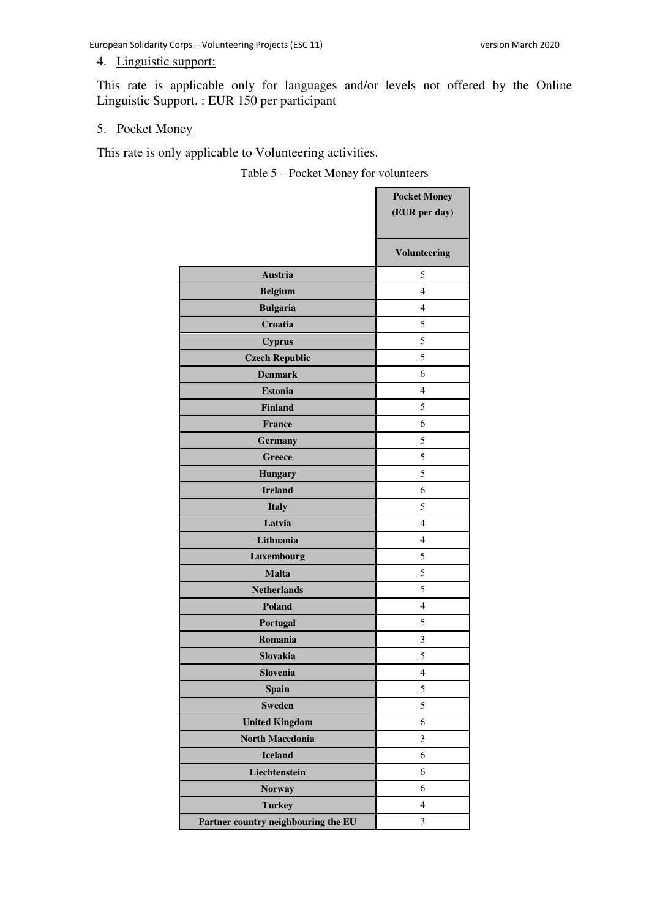## 4. Linguistic support:

This rate is applicable only for languages and/or levels not offered by the Online Linguistic Support. : EUR 150 per participant

### 5. Pocket Money

This rate is only applicable to Volunteering activities.

Table 5 – Pocket Money for volunteers

|                                     | <b>Pocket Money</b> |
|-------------------------------------|---------------------|
|                                     | (EUR per day)       |
|                                     | <b>Volunteering</b> |
| Austria                             | 5                   |
| <b>Belgium</b>                      | 4                   |
| <b>Bulgaria</b>                     | 4                   |
| Croatia                             | 5                   |
| <b>Cyprus</b>                       | 5                   |
| <b>Czech Republic</b>               | 5                   |
| <b>Denmark</b>                      | 6                   |
| <b>Estonia</b>                      | 4                   |
| <b>Finland</b>                      | 5                   |
| <b>France</b>                       | 6                   |
| <b>Germany</b>                      | 5                   |
| <b>Greece</b>                       | 5                   |
| <b>Hungary</b>                      | 5                   |
| <b>Ireland</b>                      | 6                   |
| <b>Italy</b>                        | 5                   |
| Latvia                              | 4                   |
| Lithuania                           | 4                   |
| Luxembourg                          | 5                   |
| <b>Malta</b>                        | 5                   |
| <b>Netherlands</b>                  | 5                   |
| <b>Poland</b>                       | 4                   |
| Portugal                            | 5                   |
| Romania                             | 3                   |
| Slovakia                            | 5                   |
| Slovenia                            | $\overline{4}$      |
| <b>Spain</b>                        | 5                   |
| <b>Sweden</b>                       | 5                   |
| <b>United Kingdom</b>               | 6                   |
| <b>North Macedonia</b>              | 3                   |
| <b>Iceland</b>                      | 6                   |
| Liechtenstein                       | 6                   |
| <b>Norway</b>                       | 6                   |
| <b>Turkey</b>                       | $\overline{4}$      |
| Partner country neighbouring the EU | 3                   |